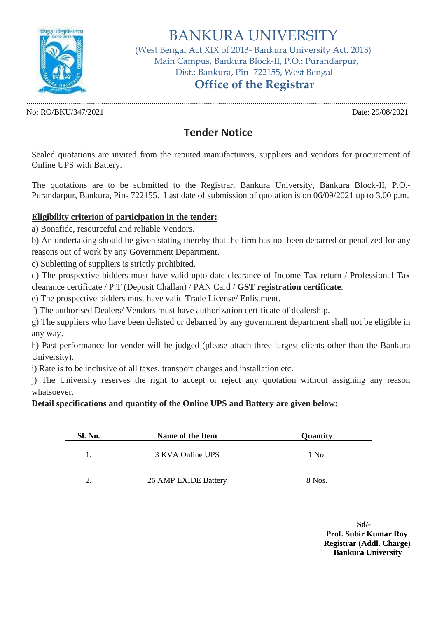

# BANKURA UNIVERSITY

(West Bengal Act XIX of 2013- Bankura University Act, 2013) Main Campus, Bankura Block-II, P.O.: Purandarpur, Dist.: Bankura, Pin- 722155, West Bengal

## **Office of the Registrar**

No: RO/BKU/347/2021 Date: 29/08/2021

.............................................................................................................................................................................................

### **Tender Notice**

Sealed quotations are invited from the reputed manufacturers, suppliers and vendors for procurement of Online UPS with Battery.

The quotations are to be submitted to the Registrar, Bankura University, Bankura Block-II, P.O.- Purandarpur, Bankura, Pin- 722155. Last date of submission of quotation is on 06/09/2021 up to 3.00 p.m.

#### **Eligibility criterion of participation in the tender:**

a) Bonafide, resourceful and reliable Vendors.

b) An undertaking should be given stating thereby that the firm has not been debarred or penalized for any reasons out of work by any Government Department.

c) Subletting of suppliers is strictly prohibited.

d) The prospective bidders must have valid upto date clearance of Income Tax return / Professional Tax clearance certificate / P.T (Deposit Challan) / PAN Card / **GST registration certificate**.

e) The prospective bidders must have valid Trade License/ Enlistment.

f) The authorised Dealers/ Vendors must have authorization certificate of dealership.

g) The suppliers who have been delisted or debarred by any government department shall not be eligible in any way.

h) Past performance for vender will be judged (please attach three largest clients other than the Bankura University).

i) Rate is to be inclusive of all taxes, transport charges and installation etc.

j) The University reserves the right to accept or reject any quotation without assigning any reason whatsoever.

#### **Detail specifications and quantity of the Online UPS and Battery are given below:**

| Sl. No. | Name of the Item     | Quantity |
|---------|----------------------|----------|
|         | 3 KVA Online UPS     | 1 No.    |
| 2.      | 26 AMP EXIDE Battery | 8 Nos.   |

**Sd/- Prof. Subir Kumar Roy Registrar (Addl. Charge) Bankura University**